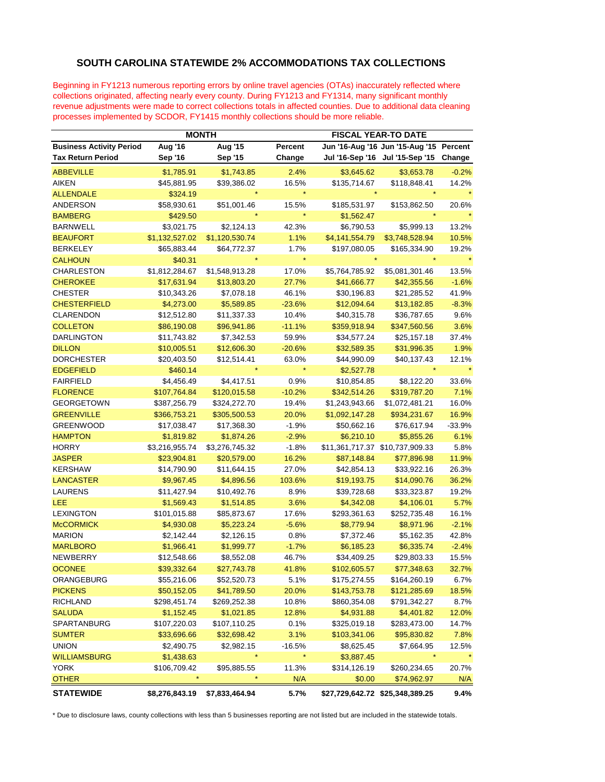## **SOUTH CAROLINA STATEWIDE 2% ACCOMMODATIONS TAX COLLECTIONS**

Beginning in FY1213 numerous reporting errors by online travel agencies (OTAs) inaccurately reflected where collections originated, affecting nearly every county. During FY1213 and FY1314, many significant monthly revenue adjustments were made to correct collections totals in affected counties. Due to additional data cleaning processes implemented by SCDOR, FY1415 monthly collections should be more reliable.

|                                 | <b>MONTH</b>   |                |          | <b>FISCAL YEAR-TO DATE</b> |                                 |          |
|---------------------------------|----------------|----------------|----------|----------------------------|---------------------------------|----------|
| <b>Business Activity Period</b> | Aug '16        | Aug '15        | Percent  |                            | Jun '16-Aug '16 Jun '15-Aug '15 | Percent  |
| <b>Tax Return Period</b>        | Sep '16        | Sep '15        | Change   |                            | Jul '16-Sep '16 Jul '15-Sep '15 | Change   |
| <b>ABBEVILLE</b>                | \$1,785.91     | \$1,743.85     | 2.4%     | \$3,645.62                 | \$3,653.78                      | $-0.2%$  |
| <b>AIKEN</b>                    | \$45,881.95    | \$39,386.02    | 16.5%    | \$135,714.67               | \$118,848.41                    | 14.2%    |
| <b>ALLENDALE</b>                | \$324.19       |                |          |                            |                                 |          |
| <b>ANDERSON</b>                 | \$58,930.61    | \$51,001.46    | 15.5%    | \$185,531.97               | \$153,862.50                    | 20.6%    |
| <b>BAMBERG</b>                  | \$429.50       |                | $\star$  | \$1,562.47                 |                                 |          |
| <b>BARNWELL</b>                 | \$3,021.75     | \$2,124.13     | 42.3%    | \$6,790.53                 | \$5,999.13                      | 13.2%    |
| <b>BEAUFORT</b>                 | \$1,132,527.02 | \$1,120,530.74 | 1.1%     | \$4,141,554.79             | \$3,748,528.94                  | 10.5%    |
| <b>BERKELEY</b>                 | \$65,883.44    | \$64,772.37    | 1.7%     | \$197,080.05               | \$165,334.90                    | 19.2%    |
| <b>CALHOUN</b>                  | \$40.31        |                |          |                            |                                 |          |
| <b>CHARLESTON</b>               | \$1,812,284.67 | \$1,548,913.28 | 17.0%    | \$5,764,785.92             | \$5,081,301.46                  | 13.5%    |
| <b>CHEROKEE</b>                 | \$17,631.94    | \$13,803.20    | 27.7%    | \$41,666.77                | \$42,355.56                     | $-1.6%$  |
| <b>CHESTER</b>                  | \$10,343.26    | \$7,078.18     | 46.1%    | \$30,196.83                | \$21,285.52                     | 41.9%    |
| <b>CHESTERFIELD</b>             | \$4,273.00     | \$5,589.85     | $-23.6%$ | \$12,094.64                | \$13,182.85                     | $-8.3%$  |
| <b>CLARENDON</b>                | \$12,512.80    | \$11,337.33    | 10.4%    | \$40,315.78                | \$36,787.65                     | 9.6%     |
| <b>COLLETON</b>                 | \$86,190.08    | \$96,941.86    | $-11.1%$ | \$359,918.94               | \$347,560.56                    | 3.6%     |
| <b>DARLINGTON</b>               | \$11,743.82    | \$7,342.53     | 59.9%    | \$34,577.24                | \$25,157.18                     | 37.4%    |
| <b>DILLON</b>                   | \$10,005.51    | \$12,606.30    | $-20.6%$ | \$32,589.35                | \$31,996.35                     | 1.9%     |
| <b>DORCHESTER</b>               | \$20,403.50    | \$12,514.41    | 63.0%    | \$44,990.09                | \$40,137.43                     | 12.1%    |
| <b>EDGEFIELD</b>                | \$460.14       |                |          | \$2,527.78                 |                                 |          |
| <b>FAIRFIELD</b>                | \$4,456.49     | \$4,417.51     | 0.9%     | \$10,854.85                | \$8,122.20                      | 33.6%    |
| <b>FLORENCE</b>                 | \$107,764.84   | \$120,015.58   | $-10.2%$ | \$342,514.26               | \$319,787.20                    | 7.1%     |
| <b>GEORGETOWN</b>               | \$387,256.79   | \$324,272.70   | 19.4%    | \$1,243,943.66             | \$1,072,481.21                  | 16.0%    |
| <b>GREENVILLE</b>               | \$366,753.21   | \$305,500.53   | 20.0%    | \$1,092,147.28             | \$934,231.67                    | 16.9%    |
| <b>GREENWOOD</b>                | \$17,038.47    | \$17,368.30    | $-1.9%$  | \$50,662.16                | \$76,617.94                     | $-33.9%$ |
| <b>HAMPTON</b>                  | \$1,819.82     | \$1,874.26     | $-2.9%$  | \$6,210.10                 | \$5,855.26                      | 6.1%     |
| <b>HORRY</b>                    | \$3,216,955.74 | \$3,276,745.32 | $-1.8%$  |                            | \$11,361,717.37 \$10,737,909.33 | 5.8%     |
| <b>JASPER</b>                   | \$23,904.81    | \$20,579.00    | 16.2%    | \$87,148.84                | \$77,896.98                     | 11.9%    |
| <b>KERSHAW</b>                  | \$14,790.90    | \$11,644.15    | 27.0%    | \$42,854.13                | \$33,922.16                     | 26.3%    |
| <b>LANCASTER</b>                | \$9,967.45     | \$4,896.56     | 103.6%   | \$19,193.75                | \$14,090.76                     | 36.2%    |
| <b>LAURENS</b>                  | \$11,427.94    | \$10,492.76    | 8.9%     | \$39,728.68                | \$33,323.87                     | 19.2%    |
| LEE                             | \$1,569.43     | \$1,514.85     | 3.6%     | \$4,342.08                 | \$4,106.01                      | 5.7%     |
| <b>LEXINGTON</b>                | \$101,015.88   | \$85,873.67    | 17.6%    | \$293,361.63               | \$252,735.48                    | 16.1%    |
| <b>McCORMICK</b>                | \$4,930.08     | \$5,223.24     | $-5.6%$  | \$8,779.94                 | \$8,971.96                      | $-2.1%$  |
| <b>MARION</b>                   | \$2,142.44     | \$2,126.15     | 0.8%     | \$7,372.46                 | \$5,162.35                      | 42.8%    |
| <b>MARLBORO</b>                 | \$1,966.41     | \$1,999.77     | $-1.7%$  | \$6,185.23                 | \$6,335.74                      | $-2.4%$  |
| <b>NEWBERRY</b>                 | \$12,548.66    | \$8,552.08     | 46.7%    | \$34,409.25                | \$29,803.33                     | 15.5%    |
| <b>OCONEE</b>                   | \$39,332.64    | \$27,743.78    | 41.8%    | \$102,605.57               | \$77,348.63                     | 32.7%    |
| ORANGEBURG                      | \$55,216.06    | \$52,520.73    | 5.1%     | \$175,274.55               | \$164,260.19                    | 6.7%     |
| <b>PICKENS</b>                  | \$50,152.05    | \$41,789.50    | 20.0%    | \$143,753.78               | \$121,285.69                    | 18.5%    |
| <b>RICHLAND</b>                 | \$298,451.74   | \$269,252.38   | 10.8%    | \$860,354.08               | \$791,342.27                    | 8.7%     |
| <b>SALUDA</b>                   | \$1,152.45     | \$1,021.85     | 12.8%    | \$4,931.88                 | \$4,401.82                      | 12.0%    |
| SPARTANBURG                     | \$107,220.03   | \$107,110.25   | 0.1%     | \$325,019.18               | \$283,473.00                    | 14.7%    |
| <b>SUMTER</b>                   | \$33,696.66    | \$32,698.42    | 3.1%     | \$103,341.06               | \$95,830.82                     | 7.8%     |
| <b>UNION</b>                    | \$2,490.75     | \$2,982.15     | $-16.5%$ | \$8,625.45                 | \$7,664.95                      | 12.5%    |
| <b>WILLIAMSBURG</b>             | \$1,438.63     | $\star$        |          | \$3,887.45                 |                                 |          |
| <b>YORK</b>                     | \$106,709.42   | \$95,885.55    | 11.3%    | \$314,126.19               | \$260,234.65                    | 20.7%    |
| <b>OTHER</b>                    | $\star$        |                | N/A      | \$0.00                     | \$74,962.97                     | N/A      |
| <b>STATEWIDE</b>                | \$8,276,843.19 | \$7,833,464.94 | 5.7%     |                            | \$27,729,642.72 \$25,348,389.25 | 9.4%     |

\* Due to disclosure laws, county collections with less than 5 businesses reporting are not listed but are included in the statewide totals.